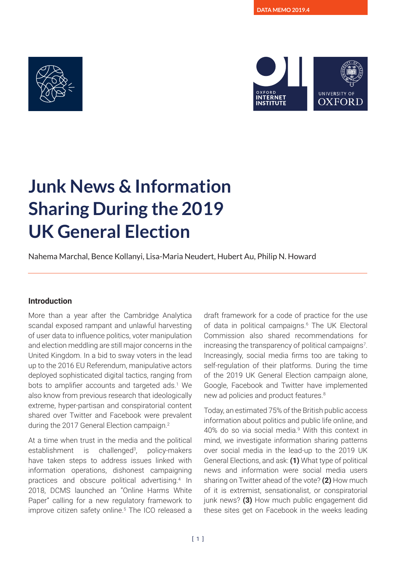



# **Junk News & Information Sharing During the 2019 UK General Election**

Nahema Marchal, Bence Kollanyi, Lisa-Maria Neudert, Hubert Au, Philip N. Howard

### **Introduction**

More than a year after the Cambridge Analytica scandal exposed rampant and unlawful harvesting of user data to influence politics, voter manipulation and election meddling are still major concerns in the United Kingdom. In a bid to sway voters in the lead up to the 2016 EU Referendum, manipulative actors deployed sophisticated digital tactics, ranging from bots to amplifier accounts and targeted ads.<sup>1</sup> We also know from previous research that ideologically extreme, hyper-partisan and conspiratorial content shared over Twitter and Facebook were prevalent during the 2017 General Election campaign.2

At a time when trust in the media and the political establishment is challenged<sup>3</sup>. , policy-makers have taken steps to address issues linked with information operations, dishonest campaigning practices and obscure political advertising.4 In 2018, DCMS launched an "Online Harms White Paper" calling for a new regulatory framework to improve citizen safety online.5 The ICO released a

draft framework for a code of practice for the use of data in political campaigns.<sup>6</sup> The UK Electoral Commission also shared recommendations for increasing the transparency of political campaigns<sup>7</sup>. Increasingly, social media firms too are taking to self-regulation of their platforms. During the time of the 2019 UK General Election campaign alone, Google, Facebook and Twitter have implemented new ad policies and product features.8

Today, an estimated 75% of the British public access information about politics and public life online, and 40% do so via social media.<sup>9</sup> With this context in mind, we investigate information sharing patterns over social media in the lead-up to the 2019 UK General Elections, and ask: **(1)** What type of political news and information were social media users sharing on Twitter ahead of the vote? **(2)** How much of it is extremist, sensationalist, or conspiratorial junk news? **(3)** How much public engagement did these sites get on Facebook in the weeks leading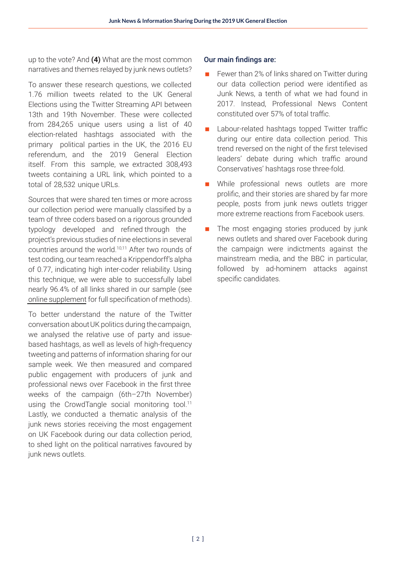up to the vote? And **(4)** What are the most common narratives and themes relayed by junk news outlets?

To answer these research questions, we collected 1.76 million tweets related to the UK General Elections using the Twitter Streaming API between 13th and 19th November. These were collected from 284,265 unique users using a list of 40 election-related hashtags associated with the primary political parties in the UK, the 2016 EU referendum, and the 2019 General Election itself. From this sample, we extracted 308,493 tweets containing a URL link, which pointed to a total of 28,532 unique URLs.

Sources that were shared ten times or more across our collection period were manually classified by a team of three coders based on a rigorous grounded typology developed and refined through the project's previous studies of nine elections in several countries around the world.10,11 After two rounds of test coding, our team reached a Krippendorff's alpha of 0.77, indicating high inter-coder reliability. Using this technique, we were able to successfully label nearly 96.4% of all links shared in our sample (see [online supplement](https://comprop.oii.ox.ac.uk/research/uk-election-memo-2019/) for full specification of methods).

To better understand the nature of the Twitter conversation aboutUK politics during thecampaign, we analysed the relative use of party and issuebased hashtags, as well as levels of high-frequency tweeting and patterns of information sharing for our sample week. We then measured and compared public engagement with producers of junk and professional news over Facebook in the first three weeks of the campaign (6th–27th November) using the CrowdTangle social monitoring tool.<sup>11</sup> Lastly, we conducted a thematic analysis of the junk news stories receiving the most engagement on UK Facebook during our data collection period, to shed light on the political narratives favoured by junk news outlets.

### Our main findings are:

- Fewer than 2% of links shared on Twitter during our data collection period were identified as Junk News, a tenth of what we had found in 2017. Instead, Professional News Content constituted over 57% of total traffic.
- Labour-related hashtags topped Twitter traffic during our entire data collection period. This trend reversed on the night of the first televised leaders' debate during which traffic around Conservatives' hashtags rose three-fold.
- **Now While professional news outlets are more** prolific, and their stories are shared by far more people, posts from junk news outlets trigger more extreme reactions from Facebook users.
- $\blacksquare$  The most engaging stories produced by junk news outlets and shared over Facebook during the campaign were indictments against the mainstream media, and the BBC in particular, followed by ad-hominem attacks against specific candidates.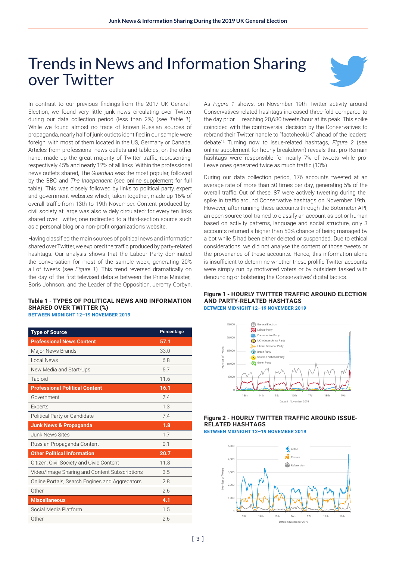## Trends in News and Information Sharing over Twitter



In contrast to our previous findings from the 2017 UK General Election, we found very little junk news circulating over Twitter during our data collection period (less than 2%) (see *Table 1*). While we found almost no trace of known Russian sources of propaganda, nearly half of junk outlets identified in our sample were foreign, with most of them located in the US, Germany or Canada. Articles from professional news outlets and tabloids, on the other hand, made up the great majority of Twitter traffic, representing respectively 45% and nearly 12% of all links. Within the professional news outlets shared, The *Guardian* was the most popular, followed by the BBC and *The Independent* (see [online supplement](https://comprop.oii.ox.ac.uk/research/uk-election-memo-2019/) for full table). This was closely followed by links to political party, expert and government websites which, taken together, made up 16% of overall traffic from 13th to 19th November. Content produced by civil society at large was also widely circulated: for every ten links shared over Twitter, one redirected to a third-section source such as a personal blog or a non-profit organization's website.

Having classified the main sources of political news and information sharedoverTwitter,we exploredthe traffic produced by party-related hashtags. Our analysis shows that the Labour Party dominated the conversation for most of the sample week, generating 20% all of tweets (see *Figure 1*). This trend reversed dramatically on the day of the first televised debate between the Prime Minister, Boris Johnson, and the Leader of the Opposition, Jeremy Corbyn.

#### **Table 1 - TYPES OF POLITICAL NEWS AND INFORMATION SHARED OVER TWITTER (%) BETWEEN MIDNIGHT 12–19 NOVEMBER 2019**

**Type of Source Percentage Professional News Content 57.1**  Major News Brands 33.0 Local News 6.8 New Media and Start-Ups 5.7 Tabloid 11.6 **Professional Political Content 16.1** Government 7.4 Experts 1.3 Political Party or Candidate 7.4 **Junk News & Propaganda 1.8** Junk News Sites 1.7 Russian Propaganda Content **1988** Content 0.1 **Other Political Information 20.7** Citizen, Civil Society and Civic Content 11.8 Video/Image Sharing and Content Subscriptions 3.5 Online Portals, Search Engines and Aggregators 2.8 Other 2.6 **Miscellaneous 4.1** Social Media Platform 1.5 Other 2.6

As *Figure 1* shows, on November 19th Twitter activity around Conservatives-related hashtags increased three-fold compared to the day prior — reaching 20,680 tweets/hour at its peak. This spike coincided with the controversial decision by the Conservatives to rebrand their Twitter handle to "factcheckUK" ahead of the leaders' debate<sup>12</sup> Turning now to issue-related hashtags, *Figure 2* (see [online supplement](https://comprop.oii.ox.ac.uk/research/uk-election-memo-2019/) for hourly breakdown) reveals that pro-Remain hashtags were responsible for nearly 7% of tweets while pro-Leave ones generated twice as much traffic (13%).

During our data collection period, 176 accounts tweeted at an average rate of more than 50 times per day, generating 5% of the overall traffic. Out of these, 87 were actively tweeting during the spike in traffic around Conservative hashtags on November 19th. However, after running these accounts through the Botometer API, an open source tool trained to classify an account as bot or human based on activity patterns, language and social structure, only 3 accounts returned a higher than 50% chance of being managed by a bot while 5 had been either deleted or suspended. Due to ethical considerations, we did not analyse the content of those tweets or the provenance of these accounts. Hence, this information alone is insufficient to determine whether these prolific Twitter accounts were simply run by motivated voters or by outsiders tasked with denouncing or bolstering the Conservatives' digital tactics.

#### **Figure 1 - HOURLY TWITTER TRAFFIC AROUND ELECTION AND PARTY-RELATED HASHTAGS BETWEEN MIDNIGHT 12–19 NOVEMBER 2019**



### **Figure 2 - HOURLY TWITTER TRAFFIC AROUND ISSUE-RELATED HASHTAGS** Leave Remain Referendum

**BETWEEN MIDNIGHT 12–19 NOVEMBER 2019**

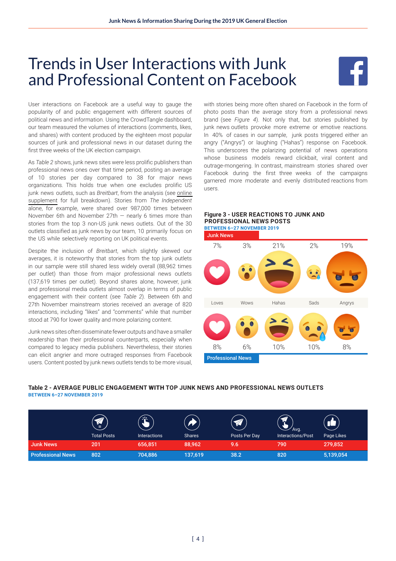# Trends in User Interactions with Junk and Professional Content on Facebook



User interactions on Facebook are a useful way to gauge the popularity of and public engagement with different sources of political news and information. Using the CrowdTangle dashboard, our team measured the volumes of interactions (comments, likes, and shares) with content produced by the eighteen most popular sources of junk and professional news in our dataset during the first three weeks of the UK election campaign.

As *Table 2* shows, junk news sites were less prolific publishers than professional news ones over that time period, posting an average of 10 stories per day compared to 38 for major news organizations. This holds true when one excludes prolific US junk news outlets, such as *Breitbart*, from the analysis (see [online](https://comprop.oii.ox.ac.uk/research/uk-election-memo-2019/)  [supplement](https://comprop.oii.ox.ac.uk/research/uk-election-memo-2019/) for full breakdown). Stories from *The Independent* alone, for example, were shared over 987,000 times between November 6th and November  $27th$  – nearly 6 times more than stories from the top 3 non-US junk news outlets. Out of the 30 outlets classified as junk news by our team, 10 primarily focus on the US while selectively reporting on UK political events.

Despite the inclusion of *Breitbart*, which slightly skewed our averages, it is noteworthy that stories from the top junk outlets in our sample were still shared less widely overall (88,962 times per outlet) than those from major professional news outlets (137,619 times per outlet). Beyond shares alone, however, junk and professional media outlets almost overlap in terms of public engagement with their content (see *Table 2*). Between 6th and 27th November mainstream stories received an average of 820 interactions, including "likes" and "comments" while that number stood at 790 for lower quality and more polarizing content.

Junk news sites often disseminate fewer outputs and have a smaller readership than their professional counterparts, especially when compared to legacy media publishers. Nevertheless, their stories can elicit angrier and more outraged responses from Facebook users. Content posted by junk news outlets tends to be more visual,

with stories being more often shared on Facebook in the form of photo posts than the average story from a professional news brand (see *Figure 4*). Not only that, but stories published by junk news outlets provoke more extreme or emotive reactions. In 40% of cases in our sample, junk posts triggered either an angry ("Angrys") or laughing ("Hahas") response on Facebook. This underscores the polarizing potential of news operations whose business models reward clickbait, viral content and outrage-mongering. In contrast, mainstream stories shared over Facebook during the first three weeks of the campaigns garnered more moderate and evenly distributed reactions from users.





#### **Table 2 - AVERAGE PUBLIC ENGAGEMENT** WITH **TOP JUNK NEWS AND PROFESSIONAL NEWS OUTLETS BETWEEN 6–27 NOVEMBER 2019**

|                          | ທ⊣<br>=<br><b>Total Posts</b> | N.<br><b>Interactions</b> | <b>Shares</b> | $\mathscr{A}$<br>Posts Per Day | $\mathbb{Z}$<br>'Avq.<br>Interactions/Post | Page Likes |
|--------------------------|-------------------------------|---------------------------|---------------|--------------------------------|--------------------------------------------|------------|
| <b>Junk News</b>         | 201                           | 656,851                   | 88,962        | 9.6                            | 790                                        | 279,852    |
| <b>Professional News</b> | 802                           | 704,886                   | 137,619       | 38.2                           | 820                                        | 5,139,054  |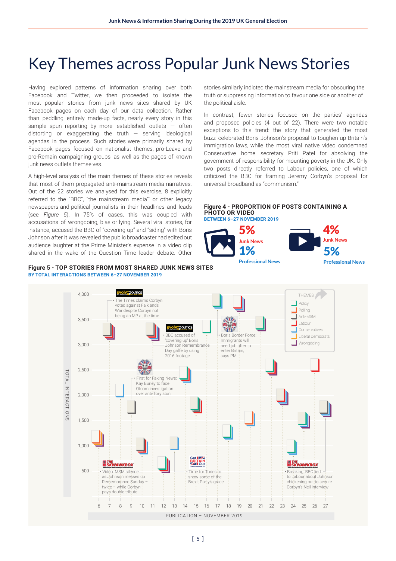# Key Themes across Popular Junk News Stories

Having explored patterns of information sharing over both Facebook and Twitter, we then proceeded to isolate the most popular stories from junk news sites shared by UK Facebook pages on each day of our data collection. Rather than peddling entirely made-up facts, nearly every story in this sample spun reporting by more established outlets - often distorting or exaggerating the truth  $-$  serving ideological agendas in the process. Such stories were primarily shared by Facebook pages focused on nationalist themes, pro-Leave and pro-Remain campaigning groups, as well as the pages of known junk news outlets themselves.

A high-level analysis of the main themes of these stories reveals that most of them propagated anti-mainstream media narratives. Out of the 22 stories we analysed for this exercise, 8 explicitly referred to the "BBC", "the mainstream media"' or other legacy newspapers and political journalists in their headlines and leads (see *Figure 5*). In 75% of cases, this was coupled with accusations of wrongdoing, bias or lying. Several viral stories, for instance, accused the BBC of "covering up" and "siding" with Boris Johnson after it was revealed the public broadcaster had edited out audience laughter at the Prime Minister's expense in a video clip shared in the wake of the Question Time leader debate. Other

#### **Figure 5 - TOP STORIES FROM MOST SHARED JUNK NEWS SITES BY TOTAL INTERACTIONS BETWEEN 6–27 NOVEMBER 2019**

stories similarly indicted the mainstream media for obscuring the truth or suppressing information to favour one side or another of the political aisle.

In contrast, fewer stories focused on the parties' agendas and proposed policies (4 out of 22). There were two notable exceptions to this trend: the story that generated the most buzz celebrated Boris Johnson's proposal to toughen up Britain's immigration laws, while the most viral native video condemned Conservative home secretary Priti Patel for absolving the government of responsibility for mounting poverty in the UK. Only two posts directly referred to Labour policies, one of which criticized the BBC for framing Jeremy Corbyn's proposal for universal broadband as "communism."

**Figure 4 - PROPORTION OF POSTS CONTAINING A PHOTO OR VIDEO BETWEEN 6–27 NOVEMBER 2019**